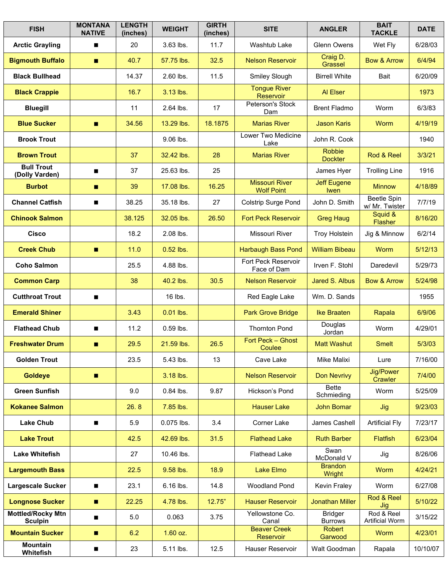| <b>FISH</b>                                | <b>MONTANA</b><br><b>NATIVE</b> | <b>LENGTH</b><br>(inches) | <b>WEIGHT</b> | <b>GIRTH</b><br>(inches) | <b>SITE</b>                                | <b>ANGLER</b>                     | <b>BAIT</b><br><b>TACKLE</b>         | <b>DATE</b> |
|--------------------------------------------|---------------------------------|---------------------------|---------------|--------------------------|--------------------------------------------|-----------------------------------|--------------------------------------|-------------|
| <b>Arctic Grayling</b>                     | п                               | 20                        | 3.63 lbs.     | 11.7                     | Washtub Lake                               | Glenn Owens                       | Wet Fly                              | 6/28/03     |
| <b>Bigmouth Buffalo</b>                    | п                               | 40.7                      | 57.75 lbs.    | 32.5                     | <b>Nelson Reservoir</b>                    | Craig D.<br>Grassel               | <b>Bow &amp; Arrow</b>               | 6/4/94      |
| <b>Black Bullhead</b>                      |                                 | 14.37                     | 2.60 lbs.     | 11.5                     | Smiley Slough                              | <b>Birrell White</b>              | Bait                                 | 6/20/09     |
| <b>Black Crappie</b>                       |                                 | 16.7                      | 3.13 lbs.     |                          | <b>Tongue River</b><br>Reservoir           | Al Elser                          |                                      | 1973        |
| <b>Bluegill</b>                            |                                 | 11                        | 2.64 lbs.     | 17                       | Peterson's Stock<br>Dam                    | <b>Brent Fladmo</b>               | Worm                                 | 6/3/83      |
| <b>Blue Sucker</b>                         | п                               | 34.56                     | 13.29 lbs.    | 18.1875                  | <b>Marias River</b>                        | <b>Jason Karis</b>                | Worm                                 | 4/19/19     |
| <b>Brook Trout</b>                         |                                 |                           | 9.06 lbs.     |                          | Lower Two Medicine<br>Lake                 | John R. Cook                      |                                      | 1940        |
| <b>Brown Trout</b>                         |                                 | 37                        | 32.42 lbs.    | 28                       | <b>Marias River</b>                        | Robbie<br><b>Dockter</b>          | Rod & Reel                           | 3/3/21      |
| <b>Bull Trout</b><br>(Dolly Varden)        | п                               | 37                        | 25.63 lbs.    | 25                       |                                            | James Hyer                        | <b>Trolling Line</b>                 | 1916        |
| <b>Burbot</b>                              | п                               | 39                        | 17.08 lbs.    | 16.25                    | <b>Missouri River</b><br><b>Wolf Point</b> | <b>Jeff Eugene</b><br><b>Iwen</b> | <b>Minnow</b>                        | 4/18/89     |
| <b>Channel Catfish</b>                     | п                               | 38.25                     | 35.18 lbs.    | 27                       | <b>Colstrip Surge Pond</b>                 | John D. Smith                     | <b>Beetle Spin</b><br>w/ Mr. Twister | 7/7/19      |
| <b>Chinook Salmon</b>                      |                                 | 38.125                    | 32.05 lbs.    | 26.50                    | <b>Fort Peck Reservoir</b>                 | <b>Greg Haug</b>                  | Squid &<br><b>Flasher</b>            | 8/16/20     |
| <b>Cisco</b>                               |                                 | 18.2                      | 2.08 lbs.     |                          | Missouri River                             | <b>Troy Holstein</b>              | Jig & Minnow                         | 6/2/14      |
| <b>Creek Chub</b>                          | п                               | 11.0                      | $0.52$ lbs.   |                          | <b>Harbaugh Bass Pond</b>                  | <b>William Bibeau</b>             | Worm                                 | 5/12/13     |
| <b>Coho Salmon</b>                         |                                 | 25.5                      | 4.88 lbs.     |                          | Fort Peck Reservoir<br>Face of Dam         | Irven F. Stohl                    | Daredevil                            | 5/29/73     |
| <b>Common Carp</b>                         |                                 | 38                        | 40.2 lbs.     | 30.5                     | <b>Nelson Reservoir</b>                    | Jared S. Albus                    | <b>Bow &amp; Arrow</b>               | 5/24/98     |
| <b>Cutthroat Trout</b>                     |                                 |                           | 16 lbs.       |                          | Red Eagle Lake                             | Wm. D. Sands                      |                                      | 1955        |
| <b>Emerald Shiner</b>                      |                                 | 3.43                      | 0.01 lbs.     |                          | <b>Park Grove Bridge</b>                   | <b>Ike Braaten</b>                | Rapala                               | 6/9/06      |
| <b>Flathead Chub</b>                       | п                               | 11.2                      | $0.59$ lbs.   |                          | <b>Thornton Pond</b>                       | Douglas<br>Jordan                 | Worm                                 | 4/29/01     |
| <b>Freshwater Drum</b>                     | п                               | 29.5                      | 21.59 lbs.    | 26.5                     | Fort Peck - Ghost<br>Coulee                | <b>Matt Washut</b>                | <b>Smelt</b>                         | 5/3/03      |
| <b>Golden Trout</b>                        |                                 | 23.5                      | 5.43 lbs.     | 13                       | Cave Lake                                  | Mike Malixi                       | Lure                                 | 7/16/00     |
| <b>Goldeye</b>                             | п                               |                           | 3.18 lbs.     |                          | <b>Nelson Reservoir</b>                    | <b>Don Nevrivy</b>                | <b>Jig/Power</b><br>Crawler          | 7/4/00      |
| <b>Green Sunfish</b>                       |                                 | 9.0                       | 0.84 lbs.     | 9.87                     | Hickson's Pond                             | <b>Bette</b><br>Schmieding        | Worm                                 | 5/25/09     |
| <b>Kokanee Salmon</b>                      |                                 | 26.8                      | 7.85 lbs.     |                          | <b>Hauser Lake</b>                         | <b>John Bomar</b>                 | Jig                                  | 9/23/03     |
| <b>Lake Chub</b>                           | п                               | 5.9                       | 0.075 lbs.    | 3.4                      | Corner Lake                                | James Cashell                     | <b>Artificial Fly</b>                | 7/23/17     |
| <b>Lake Trout</b>                          |                                 | 42.5                      | 42.69 lbs.    | 31.5                     | <b>Flathead Lake</b>                       | <b>Ruth Barber</b>                | <b>Flatfish</b>                      | 6/23/04     |
| <b>Lake Whitefish</b>                      |                                 | 27                        | 10.46 lbs.    |                          | <b>Flathead Lake</b>                       | Swan<br>McDonald V                | Jig                                  | 8/26/06     |
| <b>Largemouth Bass</b>                     |                                 | 22.5                      | 9.58 lbs.     | 18.9                     | <b>Lake Elmo</b>                           | <b>Brandon</b><br>Wright          | Worm                                 | 4/24/21     |
| <b>Largescale Sucker</b>                   |                                 | 23.1                      | 6.16 lbs.     | 14.8                     | Woodland Pond                              | Kevin Fraley                      | Worm                                 | 6/27/08     |
| <b>Longnose Sucker</b>                     | п                               | 22.25                     | 4.78 lbs.     | 12.75"                   | <b>Hauser Reservoir</b>                    | <b>Jonathan Miller</b>            | Rod & Reel<br>Jig                    | 5/10/22     |
| <b>Mottled/Rocky Mtn</b><br><b>Sculpin</b> | п                               | 5.0                       | 0.063         | 3.75                     | Yellowstone Co.<br>Canal                   | <b>Bridger</b><br><b>Burrows</b>  | Rod & Reel<br><b>Artificial Worm</b> | 3/15/22     |
| <b>Mountain Sucker</b>                     | п                               | 6.2                       | $1.60$ oz.    |                          | <b>Beaver Creek</b><br>Reservoir           | Robert<br>Garwood                 | Worm                                 | 4/23/01     |
| <b>Mountain</b><br>Whitefish               | ■                               | 23                        | 5.11 lbs.     | 12.5                     | Hauser Reservoir                           | Walt Goodman                      | Rapala                               | 10/10/07    |